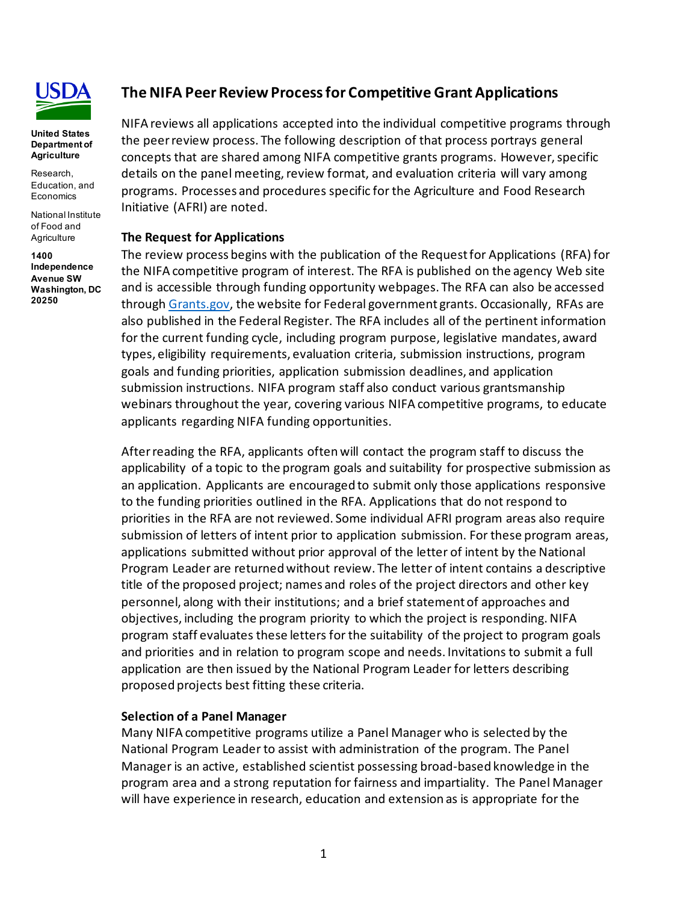

#### **United States Department of Agriculture**

Research, Education, and **Economics** 

National Institute of Food and **Agriculture** 

**1400 Independence Avenue SW Washington, DC 20250**

# **The NIFA Peer Review Process for Competitive Grant Applications**

NIFA reviews all applications accepted into the individual competitive programs through the peer review process. The following description of that process portrays general concepts that are shared among NIFA competitive grants programs. However, specific details on the panel meeting, review format, and evaluation criteria will vary among programs. Processes and procedures specific for the Agriculture and Food Research Initiative (AFRI) are noted.

### **The Request for Applications**

The review process begins with the publication of the Request for Applications (RFA) for the NIFA competitive program of interest. The RFA is published on the agency Web site and is accessible through funding opportunity webpages. The RFA can also be accessed through [Grants.gov,](http://www.grants.gov/) the website for Federal government grants. Occasionally, RFAs are also published in the Federal Register. The RFA includes all of the pertinent information for the current funding cycle, including program purpose, legislative mandates, award types, eligibility requirements, evaluation criteria, submission instructions, program goals and funding priorities, application submission deadlines, and application submission instructions. NIFA program staff also conduct various grantsmanship webinars throughout the year, covering various NIFA competitive programs, to educate applicants regarding NIFA funding opportunities.

After reading the RFA, applicants often will contact the program staff to discuss the applicability of a topic to the program goals and suitability for prospective submission as an application. Applicants are encouraged to submit only those applications responsive to the funding priorities outlined in the RFA. Applications that do not respond to priorities in the RFA are not reviewed. Some individual AFRI program areas also require submission of letters of intent prior to application submission. For these program areas, applications submitted without prior approval of the letter of intent by the National Program Leader are returned without review. The letter of intent contains a descriptive title of the proposed project; names and roles of the project directors and other key personnel, along with their institutions; and a brief statement of approaches and objectives, including the program priority to which the project is responding. NIFA program staff evaluates these letters for the suitability of the project to program goals and priorities and in relation to program scope and needs. Invitations to submit a full application are then issued by the National Program Leader for letters describing proposed projects best fitting these criteria.

#### **Selection of a Panel Manager**

Many NIFA competitive programs utilize a Panel Manager who is selected by the National Program Leader to assist with administration of the program. The Panel Manager is an active, established scientist possessing broad-based knowledge in the program area and a strong reputation for fairness and impartiality. The Panel Manager will have experience in research, education and extension as is appropriate for the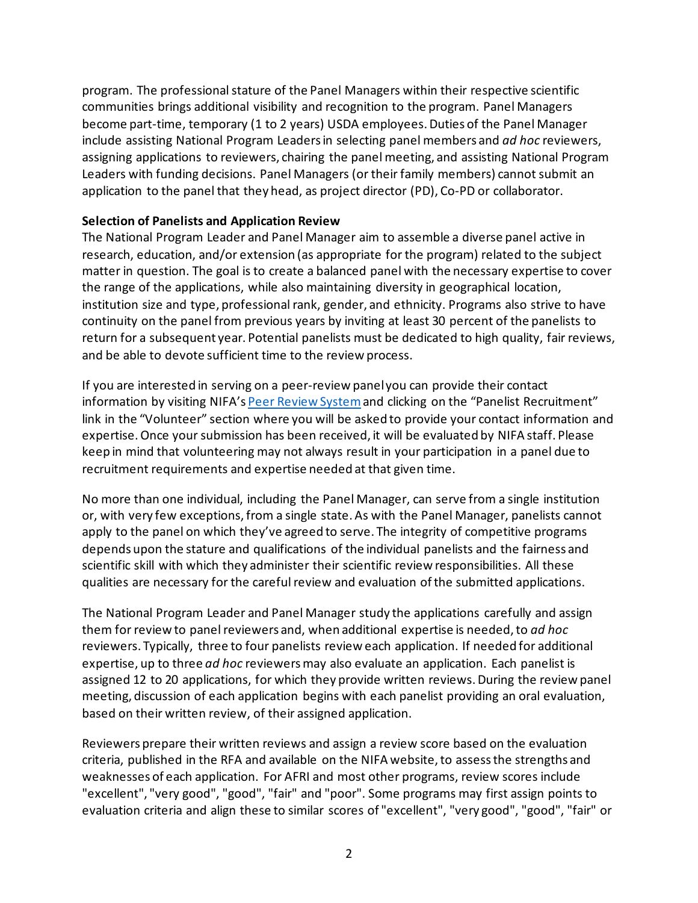program. The professional stature of the Panel Managers within their respective scientific communities brings additional visibility and recognition to the program. Panel Managers become part-time, temporary (1 to 2 years) USDA employees. Duties of the Panel Manager include assisting National Program Leaders in selecting panel members and *ad hoc* reviewers, assigning applications to reviewers, chairing the panel meeting, and assisting National Program Leaders with funding decisions. Panel Managers (or their family members) cannot submit an application to the panel that they head, as project director (PD), Co-PD or collaborator.

# **Selection of Panelists and Application Review**

The National Program Leader and Panel Manager aim to assemble a diverse panel active in research, education, and/or extension (as appropriate for the program) related to the subject matter in question. The goal is to create a balanced panel with the necessary expertise to cover the range of the applications, while also maintaining diversity in geographical location, institution size and type, professional rank, gender, and ethnicity. Programs also strive to have continuity on the panel from previous years by inviting at least 30 percent of the panelists to return for a subsequent year. Potential panelists must be dedicated to high quality, fair reviews, and be able to devote sufficient time to the review process.

If you are interested in serving on a peer-review panel you can provide their contact information by visiting NIFA's [Peer Review System](https://prs.nifa.usda.gov/prs/preLogin.do?page=welcome)and clicking on the "Panelist Recruitment" link in the "Volunteer" section where you will be asked to provide your contact information and expertise. Once your submission has been received, it will be evaluated by NIFA staff. Please keep in mind that volunteering may not always result in your participation in a panel due to recruitment requirements and expertise needed at that given time.

No more than one individual, including the Panel Manager, can serve from a single institution or, with very few exceptions, from a single state. As with the Panel Manager, panelists cannot apply to the panel on which they've agreed to serve. The integrity of competitive programs depends upon the stature and qualifications of the individual panelists and the fairness and scientific skill with which they administer their scientific review responsibilities. All these qualities are necessary for the careful review and evaluation of the submitted applications.

The National Program Leader and Panel Manager study the applications carefully and assign them for review to panel reviewers and, when additional expertise is needed, to *ad hoc* reviewers. Typically, three to four panelists review each application. If needed for additional expertise, up to three *ad hoc* reviewers may also evaluate an application. Each panelist is assigned 12 to 20 applications, for which they provide written reviews. During the review panel meeting, discussion of each application begins with each panelist providing an oral evaluation, based on their written review, of their assigned application.

Reviewers prepare their written reviews and assign a review score based on the evaluation criteria, published in the RFA and available on the NIFA website, to assess the strengths and weaknesses of each application. For AFRI and most other programs, review scores include "excellent", "very good", "good", "fair" and "poor". Some programs may first assign points to evaluation criteria and align these to similar scores of "excellent", "very good", "good", "fair" or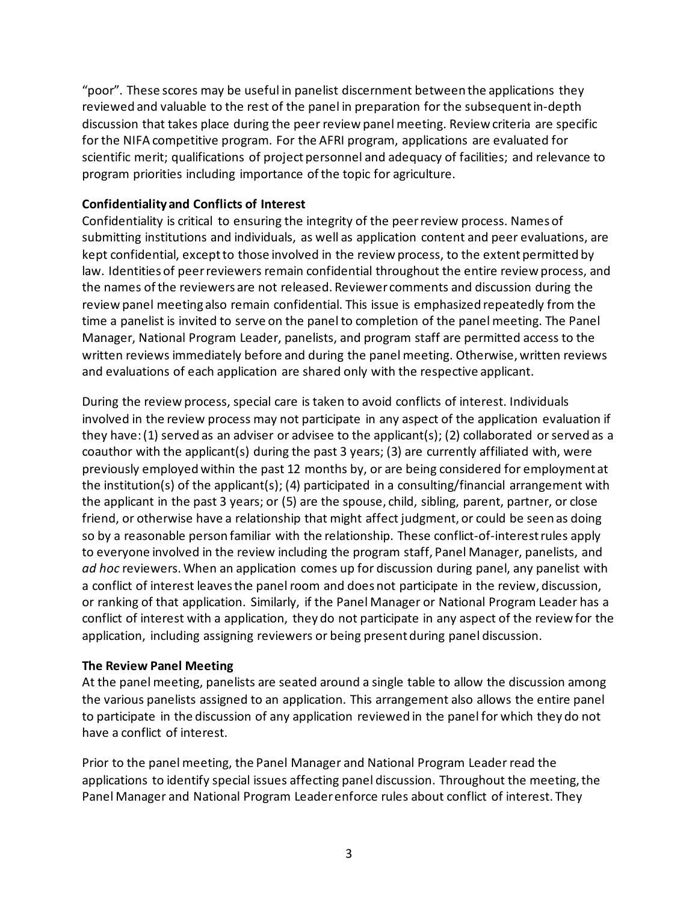"poor". These scores may be useful in panelist discernment between the applications they reviewed and valuable to the rest of the panel in preparation for the subsequent in-depth discussion that takes place during the peer review panel meeting. Review criteria are specific for the NIFA competitive program. For the AFRI program, applications are evaluated for scientific merit; qualifications of project personnel and adequacy of facilities; and relevance to program priorities including importance of the topic for agriculture.

# **Confidentiality and Conflicts of Interest**

Confidentiality is critical to ensuring the integrity of the peer review process. Names of submitting institutions and individuals, as well as application content and peer evaluations, are kept confidential, except to those involved in the review process, to the extent permitted by law. Identities of peer reviewers remain confidential throughout the entire review process, and the names of the reviewers are not released. Reviewer comments and discussion during the review panel meeting also remain confidential. This issue is emphasized repeatedly from the time a panelist is invited to serve on the panel to completion of the panel meeting. The Panel Manager, National Program Leader, panelists, and program staff are permitted access to the written reviews immediately before and during the panel meeting. Otherwise, written reviews and evaluations of each application are shared only with the respective applicant.

During the review process, special care is taken to avoid conflicts of interest. Individuals involved in the review process may not participate in any aspect of the application evaluation if they have: (1) served as an adviser or advisee to the applicant(s); (2) collaborated or served as a coauthor with the applicant(s) during the past 3 years; (3) are currently affiliated with, were previously employed within the past 12 months by, or are being considered for employment at the institution(s) of the applicant(s); (4) participated in a consulting/financial arrangement with the applicant in the past 3 years; or (5) are the spouse, child, sibling, parent, partner, or close friend, or otherwise have a relationship that might affect judgment, or could be seen as doing so by a reasonable person familiar with the relationship. These conflict-of-interest rules apply to everyone involved in the review including the program staff, Panel Manager, panelists, and *ad hoc* reviewers. When an application comes up for discussion during panel, any panelist with a conflict of interest leaves the panel room and does not participate in the review, discussion, or ranking of that application. Similarly, if the Panel Manager or National Program Leader has a conflict of interest with a application, they do not participate in any aspect of the review for the application, including assigning reviewers or being present during panel discussion.

## **The Review Panel Meeting**

At the panel meeting, panelists are seated around a single table to allow the discussion among the various panelists assigned to an application. This arrangement also allows the entire panel to participate in the discussion of any application reviewed in the panel for which they do not have a conflict of interest.

Prior to the panel meeting, the Panel Manager and National Program Leader read the applications to identify special issues affecting panel discussion. Throughout the meeting, the Panel Manager and National Program Leaderenforce rules about conflict of interest. They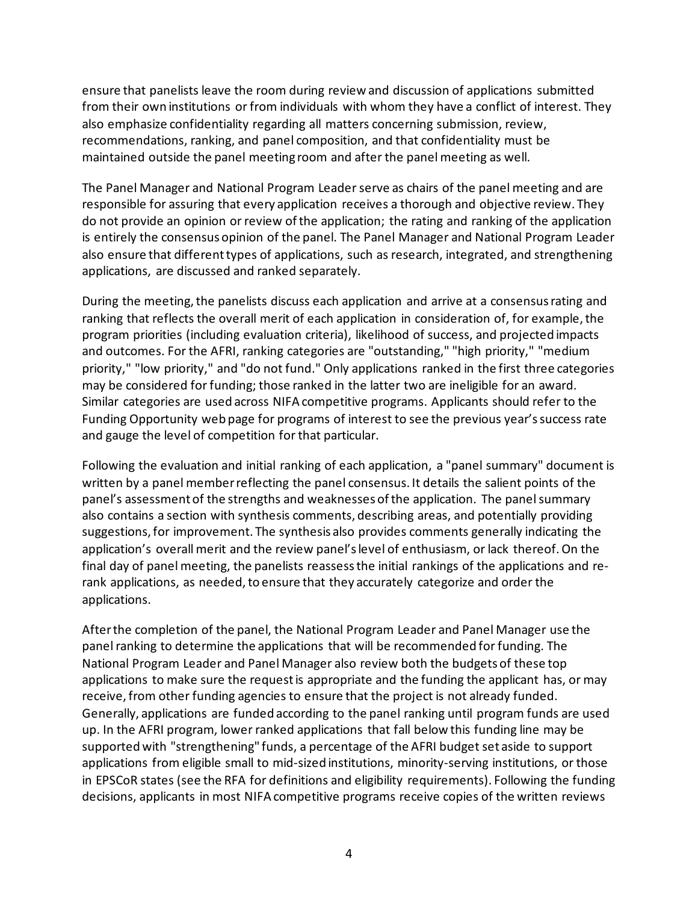ensure that panelists leave the room during review and discussion of applications submitted from their own institutions or from individuals with whom they have a conflict of interest. They also emphasize confidentiality regarding all matters concerning submission, review, recommendations, ranking, and panel composition, and that confidentiality must be maintained outside the panel meeting room and after the panel meeting as well.

The Panel Manager and National Program Leaderserve as chairs of the panel meeting and are responsible for assuring that every application receives a thorough and objective review. They do not provide an opinion or review of the application; the rating and ranking of the application is entirely the consensus opinion of the panel. The Panel Manager and National Program Leader also ensure that different types of applications, such as research, integrated, and strengthening applications, are discussed and ranked separately.

During the meeting, the panelists discuss each application and arrive at a consensus rating and ranking that reflects the overall merit of each application in consideration of, for example, the program priorities (including evaluation criteria), likelihood of success, and projected impacts and outcomes. For the AFRI, ranking categories are "outstanding," "high priority," "medium priority," "low priority," and "do not fund." Only applications ranked in the first three categories may be considered for funding; those ranked in the latter two are ineligible for an award. Similar categories are used across NIFA competitive programs. Applicants should refer to the Funding Opportunity web page for programs of interest to see the previous year's success rate and gauge the level of competition for that particular.

Following the evaluation and initial ranking of each application, a "panel summary" document is written by a panel member reflecting the panel consensus. It details the salient points of the panel's assessment of the strengths and weaknesses of the application. The panel summary also contains a section with synthesis comments, describing areas, and potentially providing suggestions, for improvement. The synthesis also provides comments generally indicating the application's overall merit and the review panel's level of enthusiasm, or lack thereof. On the final day of panel meeting, the panelists reassess the initial rankings of the applications and rerank applications, as needed, to ensure that they accurately categorize and order the applications.

After the completion of the panel, the National Program Leader and Panel Manager use the panel ranking to determine the applications that will be recommended for funding. The National Program Leader and Panel Manager also review both the budgets of these top applications to make sure the request is appropriate and the funding the applicant has, or may receive, from other funding agencies to ensure that the project is not already funded. Generally, applications are funded according to the panel ranking until program funds are used up. In the AFRI program, lower ranked applications that fall below this funding line may be supported with "strengthening" funds, a percentage of the AFRI budget set aside to support applications from eligible small to mid-sized institutions, minority-serving institutions, or those in EPSCoR states (see the RFA for definitions and eligibility requirements). Following the funding decisions, applicants in most NIFA competitive programs receive copies of the written reviews